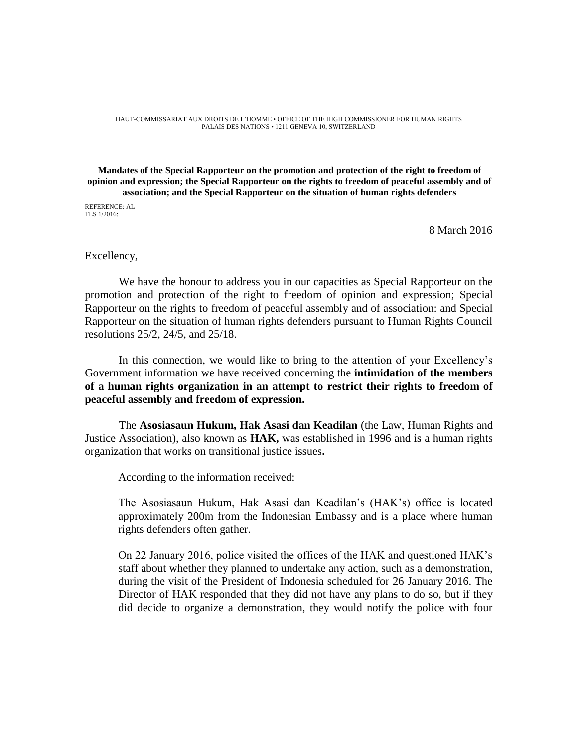HAUT-COMMISSARIAT AUX DROITS DE L'HOMME • OFFICE OF THE HIGH COMMISSIONER FOR HUMAN RIGHTS PALAIS DES NATIONS • 1211 GENEVA 10, SWITZERLAND

## **Mandates of the Special Rapporteur on the promotion and protection of the right to freedom of opinion and expression; the Special Rapporteur on the rights to freedom of peaceful assembly and of association; and the Special Rapporteur on the situation of human rights defenders**

REFERENCE: AL TLS 1/2016:

8 March 2016

## Excellency,

We have the honour to address you in our capacities as Special Rapporteur on the promotion and protection of the right to freedom of opinion and expression; Special Rapporteur on the rights to freedom of peaceful assembly and of association: and Special Rapporteur on the situation of human rights defenders pursuant to Human Rights Council resolutions 25/2, 24/5, and 25/18.

In this connection, we would like to bring to the attention of your Excellency's Government information we have received concerning the **intimidation of the members of a human rights organization in an attempt to restrict their rights to freedom of peaceful assembly and freedom of expression.** 

The **Asosiasaun Hukum, Hak Asasi dan Keadilan** (the Law, Human Rights and Justice Association), also known as **HAK,** was established in 1996 and is a human rights organization that works on transitional justice issues**.** 

According to the information received:

The Asosiasaun Hukum, Hak Asasi dan Keadilan's (HAK's) office is located approximately 200m from the Indonesian Embassy and is a place where human rights defenders often gather.

On 22 January 2016, police visited the offices of the HAK and questioned HAK's staff about whether they planned to undertake any action, such as a demonstration, during the visit of the President of Indonesia scheduled for 26 January 2016. The Director of HAK responded that they did not have any plans to do so, but if they did decide to organize a demonstration, they would notify the police with four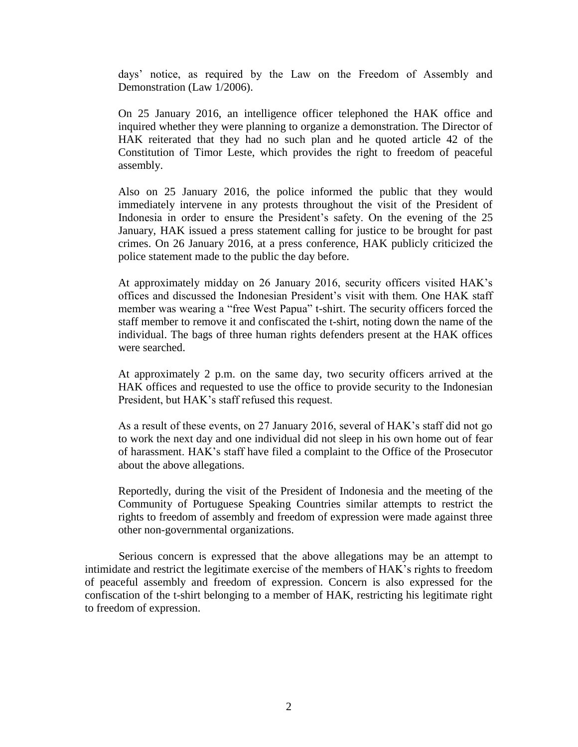days' notice, as required by the Law on the Freedom of Assembly and Demonstration (Law 1/2006).

On 25 January 2016, an intelligence officer telephoned the HAK office and inquired whether they were planning to organize a demonstration. The Director of HAK reiterated that they had no such plan and he quoted article 42 of the Constitution of Timor Leste, which provides the right to freedom of peaceful assembly.

Also on 25 January 2016, the police informed the public that they would immediately intervene in any protests throughout the visit of the President of Indonesia in order to ensure the President's safety. On the evening of the 25 January, HAK issued a press statement calling for justice to be brought for past crimes. On 26 January 2016, at a press conference, HAK publicly criticized the police statement made to the public the day before.

At approximately midday on 26 January 2016, security officers visited HAK's offices and discussed the Indonesian President's visit with them. One HAK staff member was wearing a "free West Papua" t-shirt. The security officers forced the staff member to remove it and confiscated the t-shirt, noting down the name of the individual. The bags of three human rights defenders present at the HAK offices were searched.

At approximately 2 p.m. on the same day, two security officers arrived at the HAK offices and requested to use the office to provide security to the Indonesian President, but HAK's staff refused this request.

As a result of these events, on 27 January 2016, several of HAK's staff did not go to work the next day and one individual did not sleep in his own home out of fear of harassment. HAK's staff have filed a complaint to the Office of the Prosecutor about the above allegations.

Reportedly, during the visit of the President of Indonesia and the meeting of the Community of Portuguese Speaking Countries similar attempts to restrict the rights to freedom of assembly and freedom of expression were made against three other non-governmental organizations.

Serious concern is expressed that the above allegations may be an attempt to intimidate and restrict the legitimate exercise of the members of HAK's rights to freedom of peaceful assembly and freedom of expression. Concern is also expressed for the confiscation of the t-shirt belonging to a member of HAK, restricting his legitimate right to freedom of expression.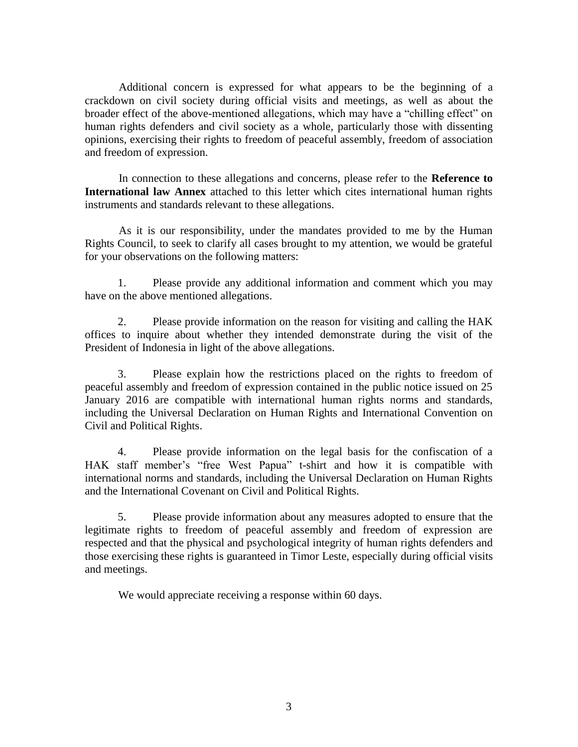Additional concern is expressed for what appears to be the beginning of a crackdown on civil society during official visits and meetings, as well as about the broader effect of the above-mentioned allegations, which may have a "chilling effect" on human rights defenders and civil society as a whole, particularly those with dissenting opinions, exercising their rights to freedom of peaceful assembly, freedom of association and freedom of expression.

In connection to these allegations and concerns, please refer to the **Reference to International law Annex** attached to this letter which cites international human rights instruments and standards relevant to these allegations.

As it is our responsibility, under the mandates provided to me by the Human Rights Council, to seek to clarify all cases brought to my attention, we would be grateful for your observations on the following matters:

1. Please provide any additional information and comment which you may have on the above mentioned allegations.

2. Please provide information on the reason for visiting and calling the HAK offices to inquire about whether they intended demonstrate during the visit of the President of Indonesia in light of the above allegations.

3. Please explain how the restrictions placed on the rights to freedom of peaceful assembly and freedom of expression contained in the public notice issued on 25 January 2016 are compatible with international human rights norms and standards, including the Universal Declaration on Human Rights and International Convention on Civil and Political Rights.

4. Please provide information on the legal basis for the confiscation of a HAK staff member's "free West Papua" t-shirt and how it is compatible with international norms and standards, including the Universal Declaration on Human Rights and the International Covenant on Civil and Political Rights.

5. Please provide information about any measures adopted to ensure that the legitimate rights to freedom of peaceful assembly and freedom of expression are respected and that the physical and psychological integrity of human rights defenders and those exercising these rights is guaranteed in Timor Leste, especially during official visits and meetings.

We would appreciate receiving a response within 60 days.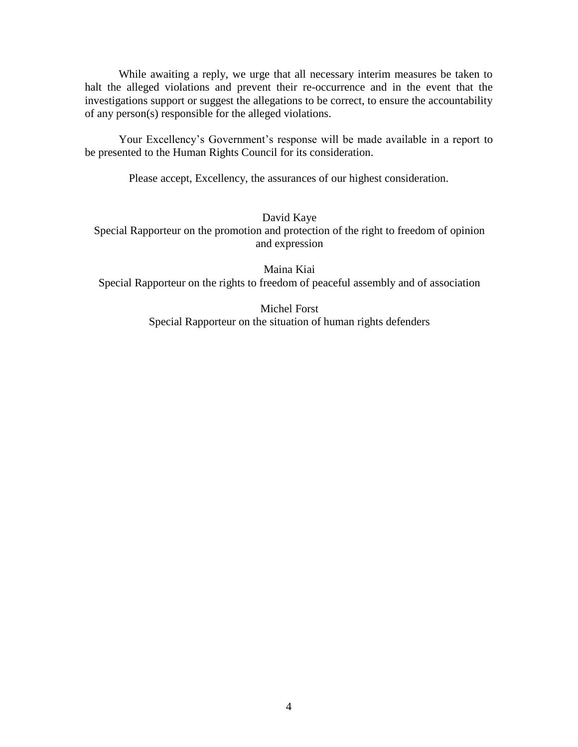While awaiting a reply, we urge that all necessary interim measures be taken to halt the alleged violations and prevent their re-occurrence and in the event that the investigations support or suggest the allegations to be correct, to ensure the accountability of any person(s) responsible for the alleged violations.

Your Excellency's Government's response will be made available in a report to be presented to the Human Rights Council for its consideration.

Please accept, Excellency, the assurances of our highest consideration.

David Kaye Special Rapporteur on the promotion and protection of the right to freedom of opinion and expression

Maina Kiai Special Rapporteur on the rights to freedom of peaceful assembly and of association

> Michel Forst Special Rapporteur on the situation of human rights defenders